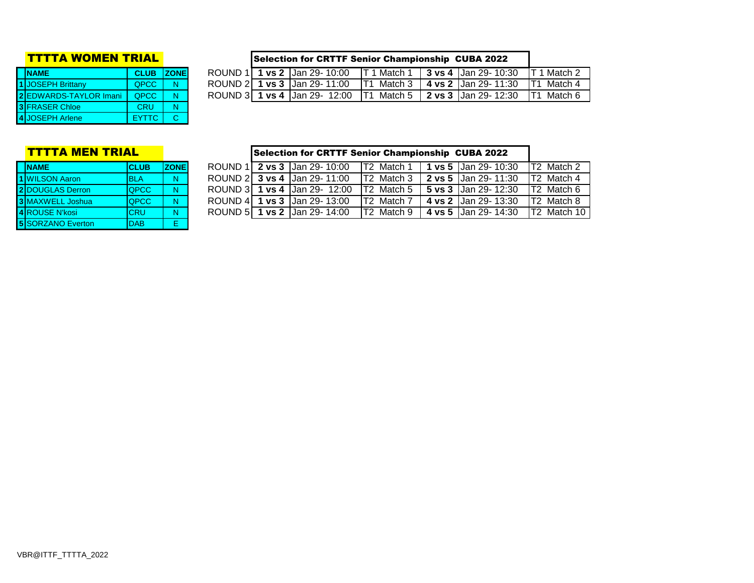| <b>NAME</b>            | <b>CLUB ZONE</b> |  |
|------------------------|------------------|--|
| 1 JOSEPH Brittany      | QPCC             |  |
| 2 EDWARDS-TAYLOR Imani | <b>OPCC</b>      |  |
| 3 FRASER Chloe         | <b>CRU</b>       |  |
| 4 JOSEPH Arlene        | <b>FYTTC</b>     |  |

### **TTTTA WOMEN TRIAL** Selection for CRTTF Senior Championship CUBA 2022

| <b>INAME</b>           | <b>CLUB ZONE</b> |   | ROUND 11 | <b>1 vs 2 IJan 29-10:00</b>      | 1 Match 1                  | $\vert$ 3 vs 4 $\vert$ Jan 29- 10:30 | Match   |
|------------------------|------------------|---|----------|----------------------------------|----------------------------|--------------------------------------|---------|
| I IJOSEPH Brittany     | QPCC             | N |          | ROUND 2   1 vs 3   Jan 29-11:00  | IT <sub>1</sub><br>Match 3 | <b>1 4 vs 2 IJan 29-11:30</b>        | Match 4 |
| 2IEDWARDS-TAYLOR Imani | <b>OPCC</b>      | N |          | ROUND 3   1 vs 4   Jan 29- 12:00 | IT <sub>1</sub>            | Match 5 <b>2 vs 3 Jan 29-12:30</b>   | Match 6 |
|                        |                  |   |          |                                  |                            |                                      |         |

| <b>NAME</b>              | <b>CLUB</b> | <b>ZONE</b> |
|--------------------------|-------------|-------------|
| 1 WILSON Aaron           | <b>BLA</b>  | N           |
| 2 DOUGLAS Derron         | <b>QPCC</b> | N           |
| 3 MAXWELL Joshua         | <b>QPCC</b> | N           |
| 4 ROUSE N'kosi           | <b>CRU</b>  | N           |
| <b>5 SORZANO Everton</b> | DAB         | F           |

### **TTTTA MEN TRIAL CONSERVERGY Selection for CRTTF Senior Championship CUBA 2022 ROUND 1 2 vs 3** Jan 29- 10:00 T2 Match 1 | 1 vs 5 | Jan 29- 10:30 T2 Match 2<br>**ROUND 2 3 vs 4** Jan 29- 11:00 T2 Match 3 | 2 vs 5 | Jan 29- 11:30 T2 Match 4 **1** WILSON Aaron BLA N ROUND 2 **3 vs 4** Jan 29- 11:00 T2 Match 3 **2 vs 5** Jan 29- 11:30 T2 Match 4 **2** DOUGLAS Derron QPCC N ROUND 3 **1 vs 4** Jan 29- 12:00 T2 Match 5 **5 vs 3** Jan 29- 12:30 T2 Match 6 **3** MAXWELL Joshua QPCC N ROUND 4 **1 vs 3** Jan 29- 13:00 T2 Match 7 **4 vs 2** Jan 29- 13:30 T2 Match 8 **ROUND 5 1 vs 2** Jan 29- 14:00 T2 Match 9 | 4 vs 5 Jan 29- 14:30 T2 Match 10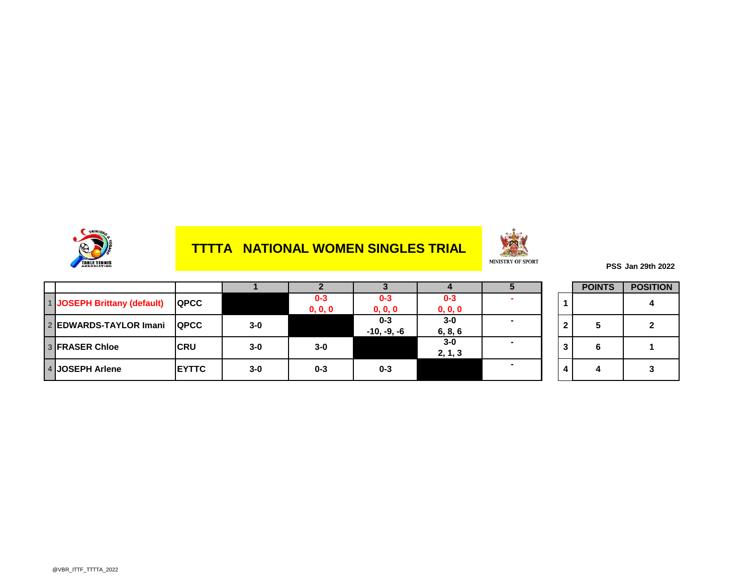

## **TTTTA NATIONAL WOMEN SINGLES TRIAL**



**PSS Jan 29th 2022**

|                             |               |       |                    |                          |                    |   | <b>POINTS</b> | <b>POSITION</b> |
|-----------------------------|---------------|-------|--------------------|--------------------------|--------------------|---|---------------|-----------------|
| 1 JOSEPH Brittany (default) | <b>QPCC</b>   |       | $0 - 3$<br>0, 0, 0 | $0 - 3$<br>0, 0, 0       | $0 - 3$<br>0, 0, 0 |   |               |                 |
| 2 EDWARDS-TAYLOR Imani      | <b>IQPCC</b>  | $3-0$ |                    | $0 - 3$<br>$-10, -9, -6$ | $3 - 0$<br>6, 8, 6 | ŋ | 5             |                 |
| <b>3 FRASER Chloe</b>       | <b>ICRU</b>   | $3-0$ | $3 - 0$            |                          | $3-0$<br>2, 1, 3   | 3 | 6             |                 |
| 4 JOSEPH Arlene             | <b>IEYTTC</b> | $3-0$ | $0 - 3$            | $0 - 3$                  |                    |   |               |                 |